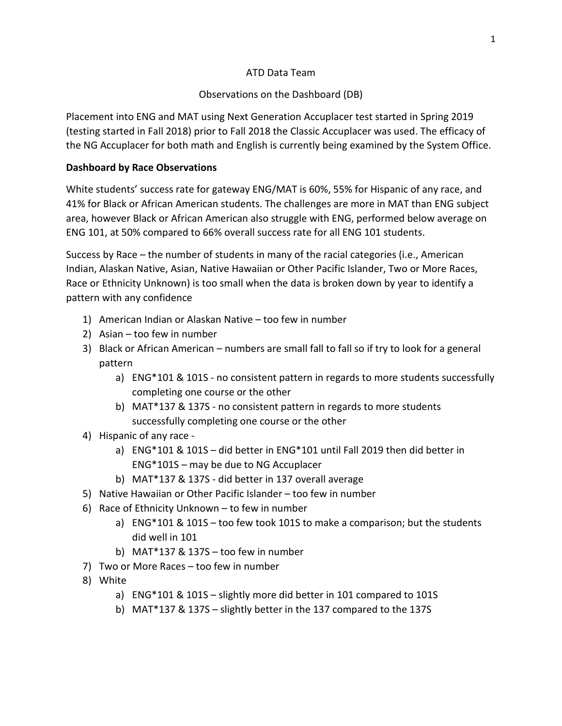## ATD Data Team

# Observations on the Dashboard (DB)

Placement into ENG and MAT using Next Generation Accuplacer test started in Spring 2019 (testing started in Fall 2018) prior to Fall 2018 the Classic Accuplacer was used. The efficacy of the NG Accuplacer for both math and English is currently being examined by the System Office.

# **Dashboard by Race Observations**

White students' success rate for gateway ENG/MAT is 60%, 55% for Hispanic of any race, and 41% for Black or African American students. The challenges are more in MAT than ENG subject area, however Black or African American also struggle with ENG, performed below average on ENG 101, at 50% compared to 66% overall success rate for all ENG 101 students.

Success by Race – the number of students in many of the racial categories (i.e., American Indian, Alaskan Native, Asian, Native Hawaiian or Other Pacific Islander, Two or More Races, Race or Ethnicity Unknown) is too small when the data is broken down by year to identify a pattern with any confidence

- 1) American Indian or Alaskan Native too few in number
- 2) Asian too few in number
- 3) Black or African American numbers are small fall to fall so if try to look for a general pattern
	- a) ENG\*101 & 101S no consistent pattern in regards to more students successfully completing one course or the other
	- b) MAT\*137 & 137S no consistent pattern in regards to more students successfully completing one course or the other
- 4) Hispanic of any race
	- a) ENG\*101 & 101S did better in ENG\*101 until Fall 2019 then did better in ENG\*101S – may be due to NG Accuplacer
	- b) MAT\*137 & 137S did better in 137 overall average
- 5) Native Hawaiian or Other Pacific Islander too few in number
- 6) Race of Ethnicity Unknown to few in number
	- a) ENG\*101 & 101S too few took 101S to make a comparison; but the students did well in 101
	- b) MAT\*137 & 137S too few in number
- 7) Two or More Races too few in number
- 8) White
	- a) ENG\*101 & 101S slightly more did better in 101 compared to 101S
	- b) MAT\*137 & 137S slightly better in the 137 compared to the 137S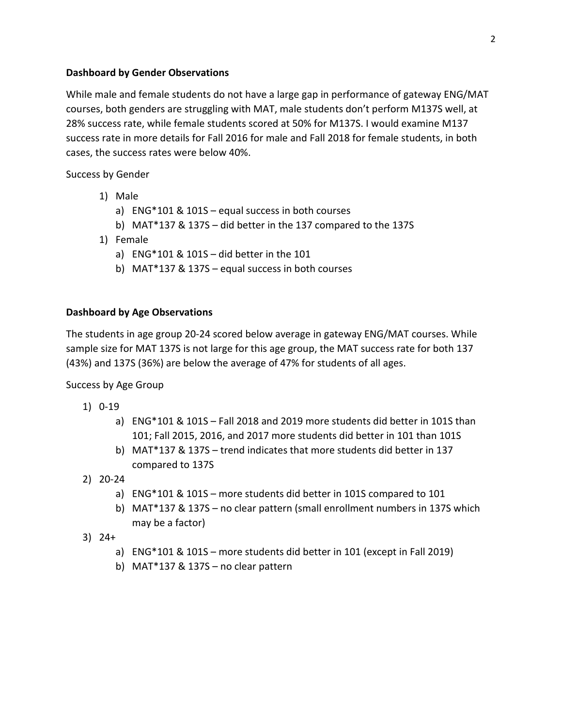#### **Dashboard by Gender Observations**

While male and female students do not have a large gap in performance of gateway ENG/MAT courses, both genders are struggling with MAT, male students don't perform M137S well, at 28% success rate, while female students scored at 50% for M137S. I would examine M137 success rate in more details for Fall 2016 for male and Fall 2018 for female students, in both cases, the success rates were below 40%.

Success by Gender

- 1) Male
	- a) ENG\*101 & 101S equal success in both courses
	- b) MAT\*137 & 137S did better in the 137 compared to the 137S
- 1) Female
	- a) ENG\*101 & 101S did better in the 101
	- b) MAT\*137 & 137S equal success in both courses

#### **Dashboard by Age Observations**

The students in age group 20-24 scored below average in gateway ENG/MAT courses. While sample size for MAT 137S is not large for this age group, the MAT success rate for both 137 (43%) and 137S (36%) are below the average of 47% for students of all ages.

Success by Age Group

- 1) 0-19
	- a) ENG\*101 & 101S Fall 2018 and 2019 more students did better in 101S than 101; Fall 2015, 2016, and 2017 more students did better in 101 than 101S
	- b) MAT\*137 & 137S trend indicates that more students did better in 137 compared to 137S
- 2) 20-24
	- a) ENG\*101 & 101S more students did better in 101S compared to 101
	- b) MAT\*137 & 137S no clear pattern (small enrollment numbers in 137S which may be a factor)
- 3) 24+
	- a) ENG\*101 & 101S more students did better in 101 (except in Fall 2019)
	- b) MAT\*137 & 137S no clear pattern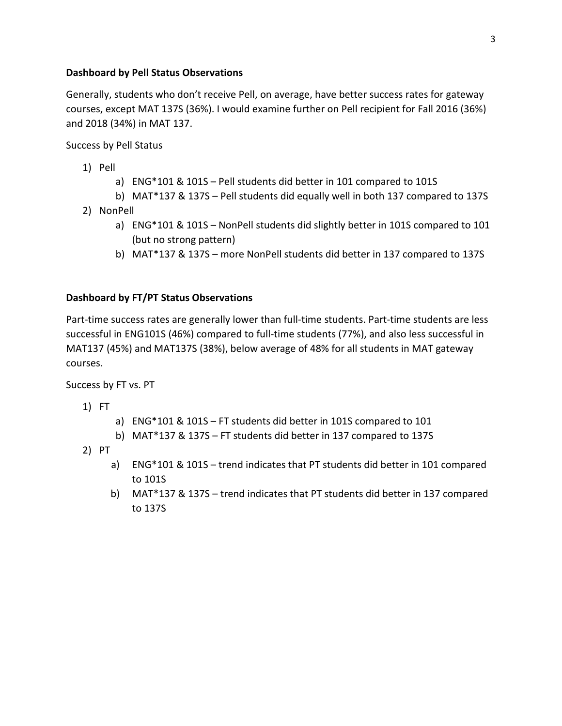## **Dashboard by Pell Status Observations**

Generally, students who don't receive Pell, on average, have better success rates for gateway courses, except MAT 137S (36%). I would examine further on Pell recipient for Fall 2016 (36%) and 2018 (34%) in MAT 137.

Success by Pell Status

- 1) Pell
	- a) ENG\*101 & 101S Pell students did better in 101 compared to 101S
	- b) MAT\*137 & 137S Pell students did equally well in both 137 compared to 137S
- 2) NonPell
	- a) ENG\*101 & 101S NonPell students did slightly better in 101S compared to 101 (but no strong pattern)
	- b) MAT\*137 & 137S more NonPell students did better in 137 compared to 137S

## **Dashboard by FT/PT Status Observations**

Part-time success rates are generally lower than full-time students. Part-time students are less successful in ENG101S (46%) compared to full-time students (77%), and also less successful in MAT137 (45%) and MAT137S (38%), below average of 48% for all students in MAT gateway courses.

Success by FT vs. PT

1) FT

- a) ENG\*101 & 101S FT students did better in 101S compared to 101
- b) MAT\*137 & 137S FT students did better in 137 compared to 137S
- 2) PT
	- a) ENG\*101 & 101S trend indicates that PT students did better in 101 compared to 101S
	- b) MAT\*137 & 137S trend indicates that PT students did better in 137 compared to 137S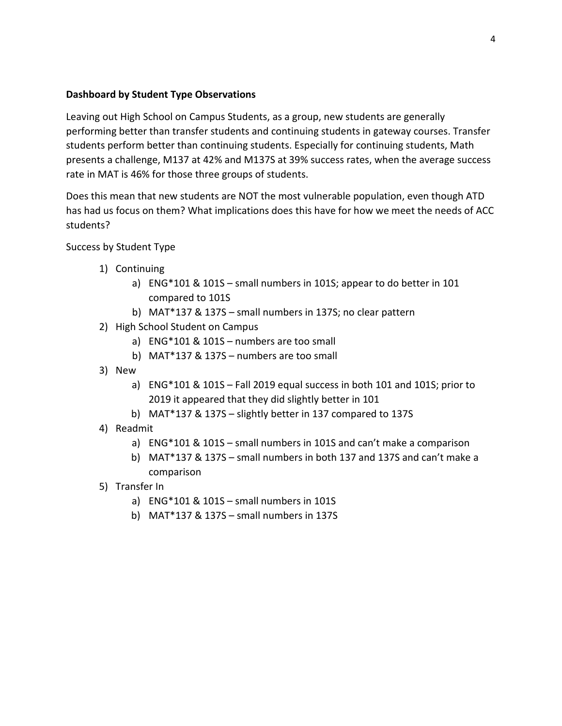### **Dashboard by Student Type Observations**

Leaving out High School on Campus Students, as a group, new students are generally performing better than transfer students and continuing students in gateway courses. Transfer students perform better than continuing students. Especially for continuing students, Math presents a challenge, M137 at 42% and M137S at 39% success rates, when the average success rate in MAT is 46% for those three groups of students.

Does this mean that new students are NOT the most vulnerable population, even though ATD has had us focus on them? What implications does this have for how we meet the needs of ACC students?

Success by Student Type

- 1) Continuing
	- a) ENG\*101 & 101S small numbers in 101S; appear to do better in 101 compared to 101S
	- b) MAT\*137 & 137S small numbers in 137S; no clear pattern
- 2) High School Student on Campus
	- a) ENG\*101 & 101S numbers are too small
	- b) MAT\*137 & 137S numbers are too small
- 3) New
	- a) ENG\*101 & 101S Fall 2019 equal success in both 101 and 101S; prior to 2019 it appeared that they did slightly better in 101
	- b) MAT\*137 & 137S slightly better in 137 compared to 137S
- 4) Readmit
	- a) ENG\*101 & 101S small numbers in 101S and can't make a comparison
	- b) MAT\*137 & 137S small numbers in both 137 and 137S and can't make a comparison
- 5) Transfer In
	- a) ENG\*101 & 101S small numbers in 101S
	- b) MAT\*137 & 137S small numbers in 137S